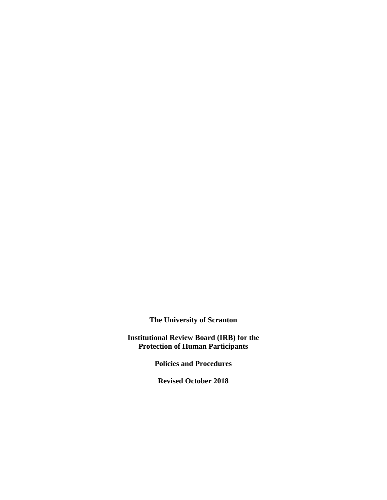**The University of Scranton**

**Institutional Review Board (IRB) for the Protection of Human Participants**

**Policies and Procedures**

**Revised October 2018**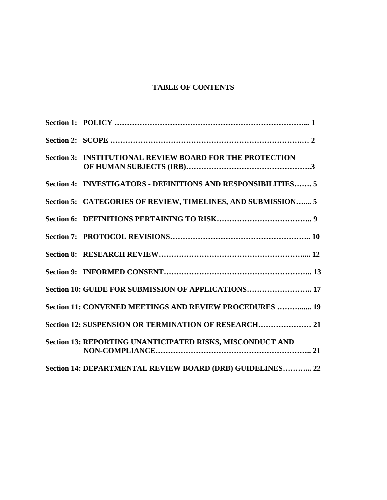# **TABLE OF CONTENTS**

| <b>Section 3: INSTITUTIONAL REVIEW BOARD FOR THE PROTECTION</b> |  |
|-----------------------------------------------------------------|--|
| Section 4: INVESTIGATORS - DEFINITIONS AND RESPONSIBILITIES 5   |  |
| Section 5: CATEGORIES OF REVIEW, TIMELINES, AND SUBMISSION 5    |  |
|                                                                 |  |
|                                                                 |  |
|                                                                 |  |
|                                                                 |  |
| Section 10: GUIDE FOR SUBMISSION OF APPLICATIONS 17             |  |
| Section 11: CONVENED MEETINGS AND REVIEW PROCEDURES  19         |  |
| Section 12: SUSPENSION OR TERMINATION OF RESEARCH 21            |  |
| Section 13: REPORTING UNANTICIPATED RISKS, MISCONDUCT AND       |  |
| Section 14: DEPARTMENTAL REVIEW BOARD (DRB) GUIDELINES 22       |  |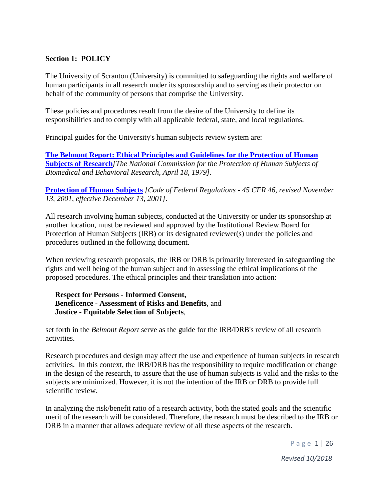#### **Section 1: POLICY**

The University of Scranton (University) is committed to safeguarding the rights and welfare of human participants in all research under its sponsorship and to serving as their protector on behalf of the community of persons that comprise the University.

These policies and procedures result from the desire of the University to define its responsibilities and to comply with all applicable federal, state, and local regulations.

Principal guides for the University's human subjects review system are:

**[The Belmont Report: Ethical Principles and Guidelines for the Protection of Human](http://ohsr.od.nih.gov/guidelines/belmont.html)  [Subjects of Research](http://ohsr.od.nih.gov/guidelines/belmont.html)***[The National Commission for the Protection of Human Subjects of Biomedical and Behavioral Research, April 18, 1979].* 

**[Protection of Human Subjects](http://www.hhs.gov/ohrp/humansubjects/guidance/45cfr46.html)** *[Code of Federal Regulations - 45 CFR 46, revised November 13, 2001, effective December 13, 2001].*

All research involving human subjects, conducted at the University or under its sponsorship at another location, must be reviewed and approved by the Institutional Review Board for Protection of Human Subjects (IRB) or its designated reviewer(s) under the policies and procedures outlined in the following document.

When reviewing research proposals, the IRB or DRB is primarily interested in safeguarding the rights and well being of the human subject and in assessing the ethical implications of the proposed procedures. The ethical principles and their translation into action:

#### **Respect for Persons - Informed Consent, Beneficence - Assessment of Risks and Benefits**, and  **Justice - Equitable Selection of Subjects**,

set forth in the *Belmont Report* serve as the guide for the IRB/DRB's review of all research activities.

Research procedures and design may affect the use and experience of human subjects in research activities. In this context, the IRB/DRB has the responsibility to require modification or change in the design of the research, to assure that the use of human subjects is valid and the risks to the subjects are minimized. However, it is not the intention of the IRB or DRB to provide full scientific review.

In analyzing the risk/benefit ratio of a research activity, both the stated goals and the scientific merit of the research will be considered. Therefore, the research must be described to the IRB or DRB in a manner that allows adequate review of all these aspects of the research.

> P a g e 1 | 26 *Revised 10/2018*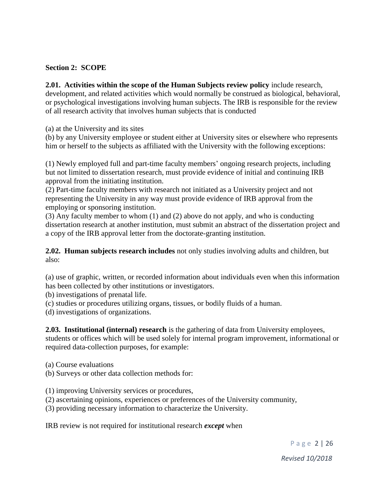### **Section 2: SCOPE**

**2.01. Activities within the scope of the Human Subjects review policy** include research, development, and related activities which would normally be construed as biological, behavioral, or psychological investigations involving human subjects. The IRB is responsible for the review of all research activity that involves human subjects that is conducted

(a) at the University and its sites

(b) by any University employee or student either at University sites or elsewhere who represents him or herself to the subjects as affiliated with the University with the following exceptions:

(1) Newly employed full and part-time faculty members' ongoing research projects, including but not limited to dissertation research, must provide evidence of initial and continuing IRB approval from the initiating institution.

(2) Part-time faculty members with research not initiated as a University project and not representing the University in any way must provide evidence of IRB approval from the employing or sponsoring institution.

(3) Any faculty member to whom (1) and (2) above do not apply, and who is conducting dissertation research at another institution, must submit an abstract of the dissertation project and a copy of the IRB approval letter from the doctorate-granting institution.

**2.02. Human subjects research includes** not only studies involving adults and children, but also:

(a) use of graphic, written, or recorded information about individuals even when this information has been collected by other institutions or investigators.

(b) investigations of prenatal life.

(c) studies or procedures utilizing organs, tissues, or bodily fluids of a human.

(d) investigations of organizations.

**2.03. Institutional (internal) research** is the gathering of data from University employees, students or offices which will be used solely for internal program improvement, informational or required data-collection purposes, for example:

(a) Course evaluations

- (b) Surveys or other data collection methods for:
- (1) improving University services or procedures,
- (2) ascertaining opinions, experiences or preferences of the University community,
- (3) providing necessary information to characterize the University.

IRB review is not required for institutional research *except* when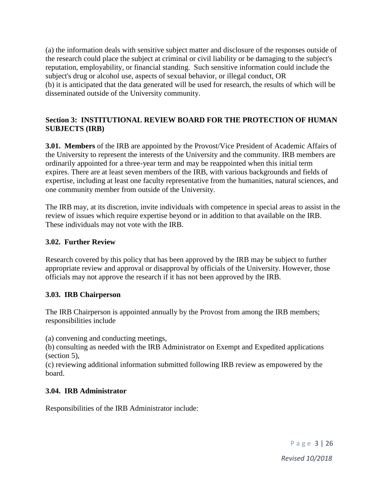(a) the information deals with sensitive subject matter and disclosure of the responses outside of the research could place the subject at criminal or civil liability or be damaging to the subject's reputation, employability, or financial standing. Such sensitive information could include the subject's drug or alcohol use, aspects of sexual behavior, or illegal conduct, OR (b) it is anticipated that the data generated will be used for research, the results of which will be disseminated outside of the University community.

## **Section 3: INSTITUTIONAL REVIEW BOARD FOR THE PROTECTION OF HUMAN SUBJECTS (IRB)**

**3.01. Members** of the IRB are appointed by the Provost/Vice President of Academic Affairs of the University to represent the interests of the University and the community. IRB members are ordinarily appointed for a three-year term and may be reappointed when this initial term expires. There are at least seven members of the IRB, with various backgrounds and fields of expertise, including at least one faculty representative from the humanities, natural sciences, and one community member from outside of the University.

The IRB may, at its discretion, invite individuals with competence in special areas to assist in the review of issues which require expertise beyond or in addition to that available on the IRB. These individuals may not vote with the IRB.

### **3.02. Further Review**

Research covered by this policy that has been approved by the IRB may be subject to further appropriate review and approval or disapproval by officials of the University. However, those officials may not approve the research if it has not been approved by the IRB.

#### **3.03. IRB Chairperson**

The IRB Chairperson is appointed annually by the Provost from among the IRB members; responsibilities include

(a) convening and conducting meetings,

(b) consulting as needed with the IRB Administrator on Exempt and Expedited applications (section 5),

(c) reviewing additional information submitted following IRB review as empowered by the board.

#### **3.04. IRB Administrator**

Responsibilities of the IRB Administrator include: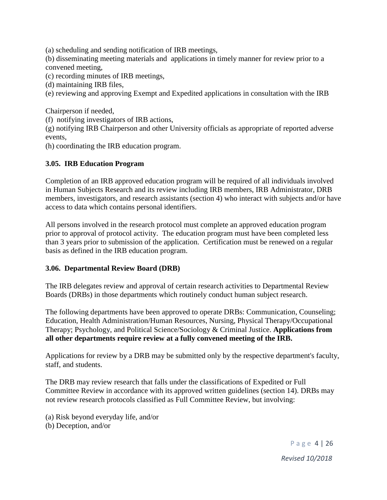(a) scheduling and sending notification of IRB meetings,

(b) disseminating meeting materials and applications in timely manner for review prior to a convened meeting,

(c) recording minutes of IRB meetings,

(d) maintaining IRB files,

(e) reviewing and approving Exempt and Expedited applications in consultation with the IRB

Chairperson if needed,

(f) notifying investigators of IRB actions,

(g) notifying IRB Chairperson and other University officials as appropriate of reported adverse events,

(h) coordinating the IRB education program.

#### **3.05. IRB Education Program**

Completion of an IRB approved education program will be required of all individuals involved in Human Subjects Research and its review including IRB members, IRB Administrator, DRB members, investigators, and research assistants (section 4) who interact with subjects and/or have access to data which contains personal identifiers.

All persons involved in the research protocol must complete an approved education program prior to approval of protocol activity. The education program must have been completed less than 3 years prior to submission of the application. Certification must be renewed on a regular basis as defined in the IRB education program.

#### **3.06. Departmental Review Board (DRB)**

The IRB delegates review and approval of certain research activities to Departmental Review Boards (DRBs) in those departments which routinely conduct human subject research.

The following departments have been approved to operate DRBs: Communication, Counseling; Education, Health Administration/Human Resources, Nursing, Physical Therapy/Occupational Therapy; Psychology, and Political Science/Sociology & Criminal Justice. **Applications from all other departments require review at a fully convened meeting of the IRB.**

Applications for review by a DRB may be submitted only by the respective department's faculty, staff, and students.

The DRB may review research that falls under the classifications of Expedited or Full Committee Review in accordance with its approved written guidelines (section 14). DRBs may not review research protocols classified as Full Committee Review, but involving:

(a) Risk beyond everyday life, and/or (b) Deception, and/or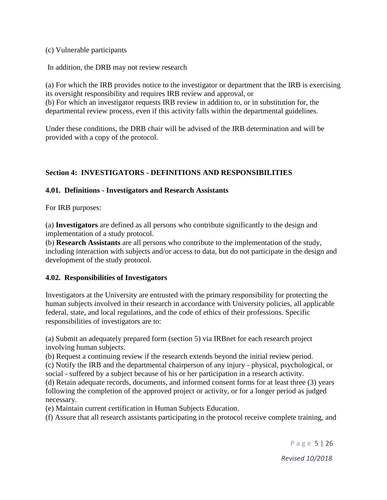(c) Vulnerable participants

In addition, the DRB may not review research

(a) For which the IRB provides notice to the investigator or department that the IRB is exercising its oversight responsibility and requires IRB review and approval, or (b) For which an investigator requests IRB review in addition to, or in substitution for, the departmental review process, even if this activity falls within the departmental guidelines.

Under these conditions, the DRB chair will be advised of the IRB determination and will be provided with a copy of the protocol.

### **Section 4: INVESTIGATORS - DEFINITIONS AND RESPONSIBILITIES**

#### **4.01. Definitions - Investigators and Research Assistants**

For IRB purposes:

(a) **Investigators** are defined as all persons who contribute significantly to the design and implementation of a study protocol.

(b) **Research Assistants** are all persons who contribute to the implementation of the study, including interaction with subjects and/or access to data, but do not participate in the design and development of the study protocol.

#### **4.02. Responsibilities of Investigators**

Investigators at the University are entrusted with the primary responsibility for protecting the human subjects involved in their research in accordance with University policies, all applicable federal, state, and local regulations, and the code of ethics of their professions. Specific responsibilities of investigators are to:

(a) Submit an adequately prepared form (section 5) via IRBnet for each research project involving human subjects.

(b) Request a continuing review if the research extends beyond the initial review period. (c) Notify the IRB and the departmental chairperson of any injury - physical, psychological, or social - suffered by a subject because of his or her participation in a research activity.

(d) Retain adequate records, documents, and informed consent forms for at least three (3) years following the completion of the approved project or activity, or for a longer period as judged necessary.

(e) Maintain current certification in Human Subjects Education.

(f) Assure that all research assistants participating in the protocol receive complete training, and

P a g e 5 | 26 *Revised 10/2018*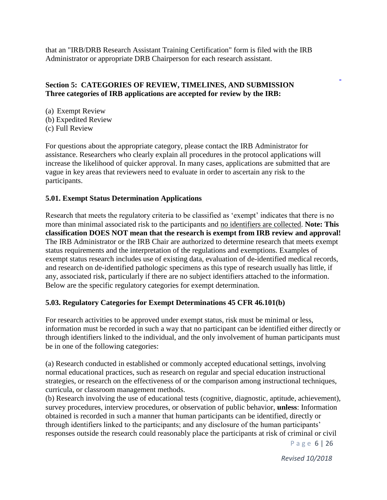that an "IRB/DRB Research Assistant Training Certification" form is filed with the IRB Administrator or appropriate DRB Chairperson for each research assistant.

## **Section 5: CATEGORIES OF REVIEW, TIMELINES, AND SUBMISSION Three categories of IRB applications are accepted for review by the IRB:**

(a) Exempt Review (b) Expedited Review (c) Full Review

For questions about the appropriate category, please contact the IRB Administrator for assistance. Researchers who clearly explain all procedures in the protocol applications will increase the likelihood of quicker approval. In many cases, applications are submitted that are vague in key areas that reviewers need to evaluate in order to ascertain any risk to the participants.

### **5.01. Exempt Status Determination Applications**

Research that meets the regulatory criteria to be classified as 'exempt' indicates that there is no more than minimal associated risk to the participants and no identifiers are collected. **Note: This classification DOES NOT mean that the research is exempt from IRB review and approval!** The IRB Administrator or the IRB Chair are authorized to determine research that meets exempt status requirements and the interpretation of the regulations and exemptions. Examples of exempt status research includes use of existing data, evaluation of de-identified medical records, and research on de-identified pathologic specimens as this type of research usually has little, if any, associated risk, particularly if there are no subject identifiers attached to the information. Below are the specific regulatory categories for exempt determination.

#### **5.03. Regulatory Categories for Exempt Determinations 45 CFR 46.101(b)**

For research activities to be approved under exempt status, risk must be minimal or less, information must be recorded in such a way that no participant can be identified either directly or through identifiers linked to the individual, and the only involvement of human participants must be in one of the following categories:

(a) Research conducted in established or commonly accepted educational settings, involving normal educational practices, such as research on regular and special education instructional strategies, or research on the effectiveness of or the comparison among instructional techniques, curricula, or classroom management methods.

(b) Research involving the use of educational tests (cognitive, diagnostic, aptitude, achievement), survey procedures, interview procedures, or observation of public behavior, **unless**: Information obtained is recorded in such a manner that human participants can be identified, directly or through identifiers linked to the participants; and any disclosure of the human participants' responses outside the research could reasonably place the participants at risk of criminal or civil

P a g e 6 | 26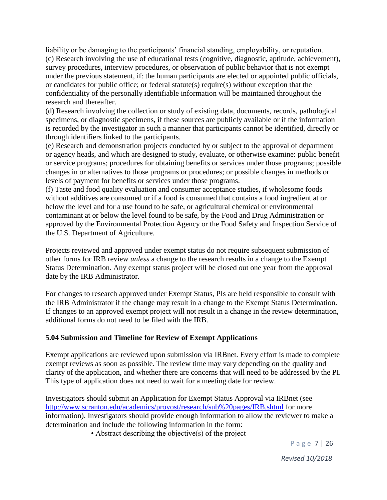liability or be damaging to the participants' financial standing, employability, or reputation. (c) Research involving the use of educational tests (cognitive, diagnostic, aptitude, achievement), survey procedures, interview procedures, or observation of public behavior that is not exempt under the previous statement, if: the human participants are elected or appointed public officials, or candidates for public office; or federal statute(s) require(s) without exception that the confidentiality of the personally identifiable information will be maintained throughout the research and thereafter.

(d) Research involving the collection or study of existing data, documents, records, pathological specimens, or diagnostic specimens, if these sources are publicly available or if the information is recorded by the investigator in such a manner that participants cannot be identified, directly or through identifiers linked to the participants.

(e) Research and demonstration projects conducted by or subject to the approval of department or agency heads, and which are designed to study, evaluate, or otherwise examine: public benefit or service programs; procedures for obtaining benefits or services under those programs; possible changes in or alternatives to those programs or procedures; or possible changes in methods or levels of payment for benefits or services under those programs.

(f) Taste and food quality evaluation and consumer acceptance studies, if wholesome foods without additives are consumed or if a food is consumed that contains a food ingredient at or below the level and for a use found to be safe, or agricultural chemical or environmental contaminant at or below the level found to be safe, by the Food and Drug Administration or approved by the Environmental Protection Agency or the Food Safety and Inspection Service of the U.S. Department of Agriculture.

Projects reviewed and approved under exempt status do not require subsequent submission of other forms for IRB review *unless* a change to the research results in a change to the Exempt Status Determination. Any exempt status project will be closed out one year from the approval date by the IRB Administrator.

For changes to research approved under Exempt Status, PIs are held responsible to consult with the IRB Administrator if the change may result in a change to the Exempt Status Determination. If changes to an approved exempt project will not result in a change in the review determination, additional forms do not need to be filed with the IRB.

#### **5.04 Submission and Timeline for Review of Exempt Applications**

Exempt applications are reviewed upon submission via IRBnet. Every effort is made to complete exempt reviews as soon as possible. The review time may vary depending on the quality and clarity of the application, and whether there are concerns that will need to be addressed by the PI. This type of application does not need to wait for a meeting date for review.

Investigators should submit an Application for Exempt Status Approval via IRBnet (see <http://www.scranton.edu/academics/provost/research/sub%20pages/IRB.shtml> for more information). Investigators should provide enough information to allow the reviewer to make a determination and include the following information in the form:

• Abstract describing the objective(s) of the project

P a g e 7 | 26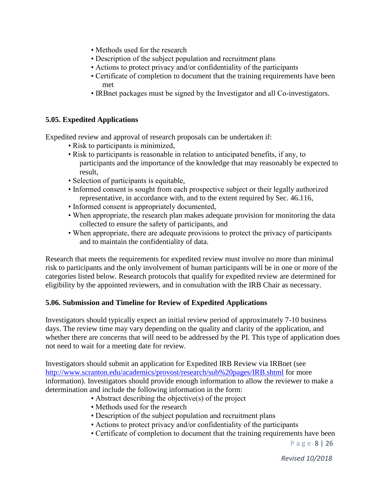- Methods used for the research
- Description of the subject population and recruitment plans
- Actions to protect privacy and/or confidentiality of the participants
- Certificate of completion to document that the training requirements have been met
- IRBnet packages must be signed by the Investigator and all Co-investigators.

#### **5.05. Expedited Applications**

Expedited review and approval of research proposals can be undertaken if:

- Risk to participants is minimized,
- Risk to participants is reasonable in relation to anticipated benefits, if any, to participants and the importance of the knowledge that may reasonably be expected to result,
- Selection of participants is equitable,
- Informed consent is sought from each prospective subject or their legally authorized representative, in accordance with, and to the extent required by Sec. 46.116,
- Informed consent is appropriately documented,
- When appropriate, the research plan makes adequate provision for monitoring the data collected to ensure the safety of participants, and
- When appropriate, there are adequate provisions to protect the privacy of participants and to maintain the confidentiality of data.

Research that meets the requirements for expedited review must involve no more than minimal risk to participants and the only involvement of human participants will be in one or more of the categories listed below. Research protocols that qualify for expedited review are determined for eligibility by the appointed reviewers, and in consultation with the IRB Chair as necessary.

#### **5.06. Submission and Timeline for Review of Expedited Applications**

Investigators should typically expect an initial review period of approximately 7-10 business days. The review time may vary depending on the quality and clarity of the application, and whether there are concerns that will need to be addressed by the PI. This type of application does not need to wait for a meeting date for review.

Investigators should submit an application for Expedited IRB Review via IRBnet (see <http://www.scranton.edu/academics/provost/research/sub%20pages/IRB.shtml> for more information). Investigators should provide enough information to allow the reviewer to make a determination and include the following information in the form:

- Abstract describing the objective(s) of the project
- Methods used for the research
- Description of the subject population and recruitment plans
- Actions to protect privacy and/or confidentiality of the participants
- Certificate of completion to document that the training requirements have been

P a g e 8 | 26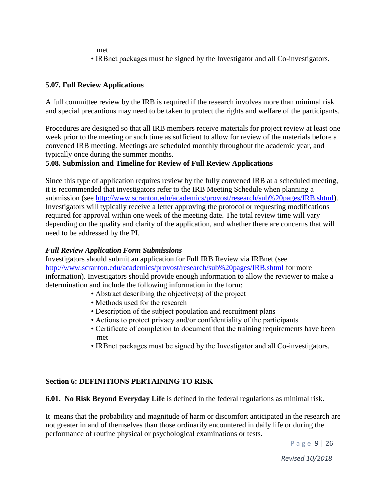met

• IRBnet packages must be signed by the Investigator and all Co-investigators.

## **5.07. Full Review Applications**

A full committee review by the IRB is required if the research involves more than minimal risk and special precautions may need to be taken to protect the rights and welfare of the participants.

Procedures are designed so that all IRB members receive materials for project review at least one week prior to the meeting or such time as sufficient to allow for review of the materials before a convened IRB meeting. Meetings are scheduled monthly throughout the academic year, and typically once during the summer months.

## **5.08. Submission and Timeline for Review of Full Review Applications**

Since this type of application requires review by the fully convened IRB at a scheduled meeting, it is recommended that investigators refer to the IRB Meeting Schedule when planning a submission (see [http://www.scranton.edu/academics/provost/research/sub%20pages/IRB.shtml\)](http://www.scranton.edu/academics/provost/research/sub%20pages/IRB.shtml). Investigators will typically receive a letter approving the protocol or requesting modifications required for approval within one week of the meeting date. The total review time will vary depending on the quality and clarity of the application, and whether there are concerns that will need to be addressed by the PI.

#### *Full Review Application Form Submissions*

Investigators should submit an application for Full IRB Review via IRBnet (see <http://www.scranton.edu/academics/provost/research/sub%20pages/IRB.shtml> for more information). Investigators should provide enough information to allow the reviewer to make a determination and include the following information in the form:

- Abstract describing the objective(s) of the project
- Methods used for the research
- Description of the subject population and recruitment plans
- Actions to protect privacy and/or confidentiality of the participants
- Certificate of completion to document that the training requirements have been met
- IRBnet packages must be signed by the Investigator and all Co-investigators.

### **Section 6: DEFINITIONS PERTAINING TO RISK**

**6.01. No Risk Beyond Everyday Life** is defined in the federal regulations as minimal risk.

It means that the probability and magnitude of harm or discomfort anticipated in the research are not greater in and of themselves than those ordinarily encountered in daily life or during the performance of routine physical or psychological examinations or tests.

P a g e 9 | 26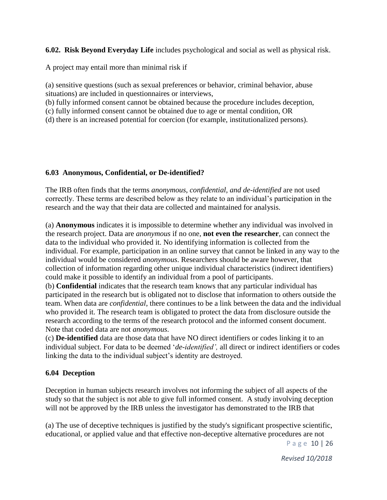**6.02. Risk Beyond Everyday Life** includes psychological and social as well as physical risk.

A project may entail more than minimal risk if

(a) sensitive questions (such as sexual preferences or behavior, criminal behavior, abuse situations) are included in questionnaires or interviews,

(b) fully informed consent cannot be obtained because the procedure includes deception,

(c) fully informed consent cannot be obtained due to age or mental condition, OR

(d) there is an increased potential for coercion (for example, institutionalized persons).

# **6.03 Anonymous, Confidential, or De-identified?**

The IRB often finds that the terms *anonymous*, *confidential, and de-identified* are not used correctly. These terms are described below as they relate to an individual's participation in the research and the way that their data are collected and maintained for analysis.

(a) **Anonymous** indicates it is impossible to determine whether any individual was involved in the research project. Data are *anonymous* if no one, **not even the researcher**, can connect the data to the individual who provided it. No identifying information is collected from the individual. For example, participation in an online survey that cannot be linked in any way to the individual would be considered *anonymous*. Researchers should be aware however, that collection of information regarding other unique individual characteristics (indirect identifiers) could make it possible to identify an individual from a pool of participants.

(b) **Confidential** indicates that the research team knows that any particular individual has participated in the research but is obligated not to disclose that information to others outside the team. When data are *confidential*, there continues to be a link between the data and the individual who provided it. The research team is obligated to protect the data from disclosure outside the research according to the terms of the research protocol and the informed consent document. Note that coded data are not *anonymous*.

(c) **De-identified** data are those data that have NO direct identifiers or codes linking it to an individual subject. For data to be deemed '*de-identified',* all direct or indirect identifiers or codes linking the data to the individual subject's identity are destroyed.

# **6.04 Deception**

Deception in human subjects research involves not informing the subject of all aspects of the study so that the subject is not able to give full informed consent. A study involving deception will not be approved by the IRB unless the investigator has demonstrated to the IRB that

(a) The use of deceptive techniques is justified by the study's significant prospective scientific, educational, or applied value and that effective non-deceptive alternative procedures are not

P a g e 10 | 26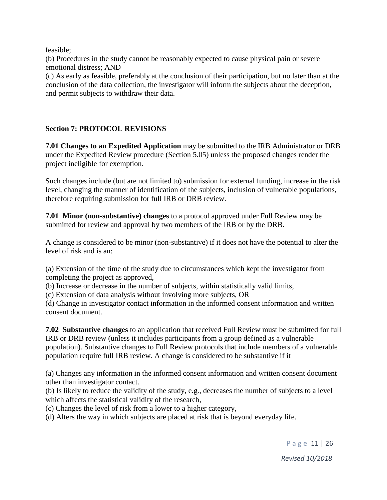feasible;

(b) Procedures in the study cannot be reasonably expected to cause physical pain or severe emotional distress; AND

(c) As early as feasible, preferably at the conclusion of their participation, but no later than at the conclusion of the data collection, the investigator will inform the subjects about the deception, and permit subjects to withdraw their data.

# **Section 7: PROTOCOL REVISIONS**

**7.01 Changes to an Expedited Application** may be submitted to the IRB Administrator or DRB under the Expedited Review procedure (Section 5.05) unless the proposed changes render the project ineligible for exemption.

Such changes include (but are not limited to) submission for external funding, increase in the risk level, changing the manner of identification of the subjects, inclusion of vulnerable populations, therefore requiring submission for full IRB or DRB review.

**7.01 Minor (non-substantive) changes** to a protocol approved under Full Review may be submitted for review and approval by two members of the IRB or by the DRB.

A change is considered to be minor (non-substantive) if it does not have the potential to alter the level of risk and is an:

(a) Extension of the time of the study due to circumstances which kept the investigator from completing the project as approved,

(b) Increase or decrease in the number of subjects, within statistically valid limits,

(c) Extension of data analysis without involving more subjects, OR

(d) Change in investigator contact information in the informed consent information and written consent document.

**7.02 Substantive changes** to an application that received Full Review must be submitted for full IRB or DRB review (unless it includes participants from a group defined as a vulnerable population). Substantive changes to Full Review protocols that include members of a vulnerable population require full IRB review. A change is considered to be substantive if it

(a) Changes any information in the informed consent information and written consent document other than investigator contact.

(b) Is likely to reduce the validity of the study, e.g., decreases the number of subjects to a level which affects the statistical validity of the research,

(c) Changes the level of risk from a lower to a higher category,

(d) Alters the way in which subjects are placed at risk that is beyond everyday life.

P a g e 11 | 26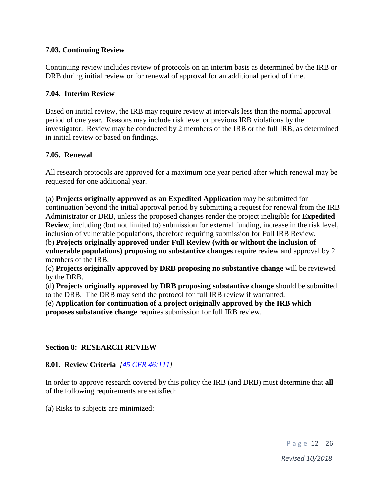### **7.03. Continuing Review**

Continuing review includes review of protocols on an interim basis as determined by the IRB or DRB during initial review or for renewal of approval for an additional period of time.

#### **7.04. Interim Review**

Based on initial review, the IRB may require review at intervals less than the normal approval period of one year. Reasons may include risk level or previous IRB violations by the investigator. Review may be conducted by 2 members of the IRB or the full IRB, as determined in initial review or based on findings.

#### **7.05. Renewal**

All research protocols are approved for a maximum one year period after which renewal may be requested for one additional year.

(a) **Projects originally approved as an Expedited Application** may be submitted for continuation beyond the initial approval period by submitting a request for renewal from the IRB Administrator or DRB, unless the proposed changes render the project ineligible for **Expedited Review**, including (but not limited to) submission for external funding, increase in the risk level, inclusion of vulnerable populations, therefore requiring submission for Full IRB Review.

(b) **Projects originally approved under Full Review (with or without the inclusion of vulnerable populations) proposing no substantive changes** require review and approval by 2 members of the IRB.

(c) **Projects originally approved by DRB proposing no substantive change** will be reviewed by the DRB.

(d) **Projects originally approved by DRB proposing substantive change** should be submitted to the DRB. The DRB may send the protocol for full IRB review if warranted.

(e) **Application for continuation of a project originally approved by the IRB which proposes substantive change** requires submission for full IRB review.

### **Section 8: RESEARCH REVIEW**

### **8.01. Review Criteria** *[\[45 CFR 46:111\]](http://www.hhs.gov/ohrp/policy/45cfr46.html#46.111)*

In order to approve research covered by this policy the IRB (and DRB) must determine that **all** of the following requirements are satisfied:

(a) Risks to subjects are minimized: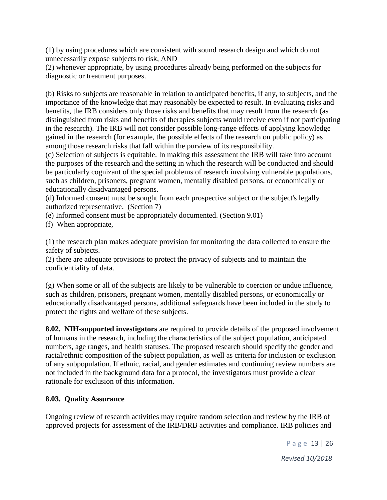(1) by using procedures which are consistent with sound research design and which do not unnecessarily expose subjects to risk, AND

(2) whenever appropriate, by using procedures already being performed on the subjects for diagnostic or treatment purposes.

(b) Risks to subjects are reasonable in relation to anticipated benefits, if any, to subjects, and the importance of the knowledge that may reasonably be expected to result. In evaluating risks and benefits, the IRB considers only those risks and benefits that may result from the research (as distinguished from risks and benefits of therapies subjects would receive even if not participating in the research). The IRB will not consider possible long-range effects of applying knowledge gained in the research (for example, the possible effects of the research on public policy) as among those research risks that fall within the purview of its responsibility.

(c) Selection of subjects is equitable. In making this assessment the IRB will take into account the purposes of the research and the setting in which the research will be conducted and should be particularly cognizant of the special problems of research involving vulnerable populations, such as children, prisoners, pregnant women, mentally disabled persons, or economically or educationally disadvantaged persons.

(d) Informed consent must be sought from each prospective subject or the subject's legally authorized representative. (Section 7)

(e) Informed consent must be appropriately documented. (Section 9.01)

(f) When appropriate,

(1) the research plan makes adequate provision for monitoring the data collected to ensure the safety of subjects.

(2) there are adequate provisions to protect the privacy of subjects and to maintain the confidentiality of data.

(g) When some or all of the subjects are likely to be vulnerable to coercion or undue influence, such as children, prisoners, pregnant women, mentally disabled persons, or economically or educationally disadvantaged persons, additional safeguards have been included in the study to protect the rights and welfare of these subjects.

**8.02. NIH-supported investigators** are required to provide details of the proposed involvement of humans in the research, including the characteristics of the subject population, anticipated numbers, age ranges, and health statuses. The proposed research should specify the gender and racial/ethnic composition of the subject population, as well as criteria for inclusion or exclusion of any subpopulation. If ethnic, racial, and gender estimates and continuing review numbers are not included in the background data for a protocol, the investigators must provide a clear rationale for exclusion of this information.

### **8.03. Quality Assurance**

Ongoing review of research activities may require random selection and review by the IRB of approved projects for assessment of the IRB/DRB activities and compliance. IRB policies and

> P a g e 13 | 26 *Revised 10/2018*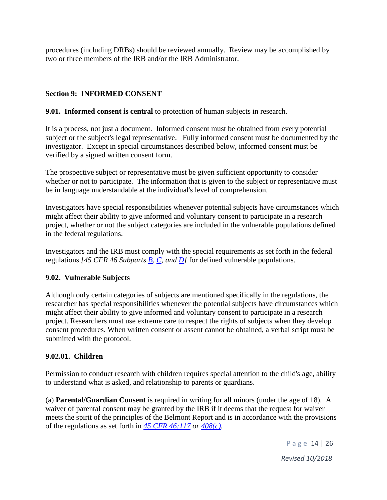procedures (including DRBs) should be reviewed annually. Review may be accomplished by two or three members of the IRB and/or the IRB Administrator.

## **Section 9: INFORMED CONSENT**

**9.01. Informed consent is central** to protection of human subjects in research.

It is a process, not just a document. Informed consent must be obtained from every potential subject or the subject's legal representative. Fully informed consent must be documented by the investigator. Except in special circumstances described below, informed consent must be verified by a signed written consent form.

The prospective subject or representative must be given sufficient opportunity to consider whether or not to participate. The information that is given to the subject or representative must be in language understandable at the individual's level of comprehension.

Investigators have special responsibilities whenever potential subjects have circumstances which might affect their ability to give informed and voluntary consent to participate in a research project, whether or not the subject categories are included in the vulnerable populations defined in the federal regulations.

Investigators and the IRB must comply with the special requirements as set forth in the federal regulations *[45 CFR 46 Subparts [B,](http://www.hhs.gov/ohrp/policy/45cfr46.html#subpartb) [C,](http://www.hhs.gov/ohrp/policy/45cfr46.html#subpartc) and [D\]](http://www.hhs.gov/ohrp/policy/45cfr46.html#subpartd)* for defined vulnerable populations.

### **9.02. Vulnerable Subjects**

Although only certain categories of subjects are mentioned specifically in the regulations, the researcher has special responsibilities whenever the potential subjects have circumstances which might affect their ability to give informed and voluntary consent to participate in a research project. Researchers must use extreme care to respect the rights of subjects when they develop consent procedures. When written consent or assent cannot be obtained, a verbal script must be submitted with the protocol.

### **9.02.01. Children**

Permission to conduct research with children requires special attention to the child's age, ability to understand what is asked, and relationship to parents or guardians.

(a) **Parental/Guardian Consent** is required in writing for all minors (under the age of 18). A waiver of parental consent may be granted by the IRB if it deems that the request for waiver meets the spirit of the principles of the Belmont Report and is in accordance with the provisions of the regulations as set forth in *[45 CFR 46:117](http://www.hhs.gov/ohrp/policy/45cfr46.html#46.117) or [408\(c\).](http://www.hhs.gov/ohrp/policy/45cfr46.html#46.408)*

> P a g e 14 | 26 *Revised 10/2018*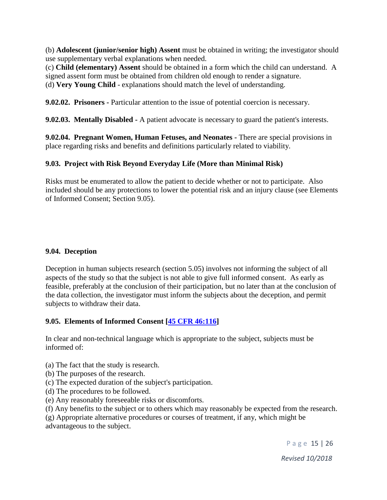(b) **Adolescent (junior/senior high) Assent** must be obtained in writing; the investigator should use supplementary verbal explanations when needed.

(c) **Child (elementary) Assent** should be obtained in a form which the child can understand. A signed assent form must be obtained from children old enough to render a signature.

(d) **Very Young Child** - explanations should match the level of understanding.

**9.02.02. Prisoners -** Particular attention to the issue of potential coercion is necessary.

**9.02.03. Mentally Disabled -** A patient advocate is necessary to guard the patient's interests.

**9.02.04. Pregnant Women, Human Fetuses, and Neonates -** There are special provisions in place regarding risks and benefits and definitions particularly related to viability.

# **9.03. Project with Risk Beyond Everyday Life (More than Minimal Risk)**

Risks must be enumerated to allow the patient to decide whether or not to participate. Also included should be any protections to lower the potential risk and an injury clause (see Elements of Informed Consent; Section 9.05).

## **9.04. Deception**

Deception in human subjects research (section 5.05) involves not informing the subject of all aspects of the study so that the subject is not able to give full informed consent. As early as feasible, preferably at the conclusion of their participation, but no later than at the conclusion of the data collection, the investigator must inform the subjects about the deception, and permit subjects to withdraw their data.

# **9.05. Elements of Informed Consent [\[45 CFR 46:116\]](http://www.hhs.gov/ohrp/policy/45cfr46.html#46.116)**

In clear and non-technical language which is appropriate to the subject, subjects must be informed of:

- (a) The fact that the study is research.
- (b) The purposes of the research.
- (c) The expected duration of the subject's participation.
- (d) The procedures to be followed.
- (e) Any reasonably foreseeable risks or discomforts.
- (f) Any benefits to the subject or to others which may reasonably be expected from the research.

(g) Appropriate alternative procedures or courses of treatment, if any, which might be advantageous to the subject.

> P a g e 15 | 26 *Revised 10/2018*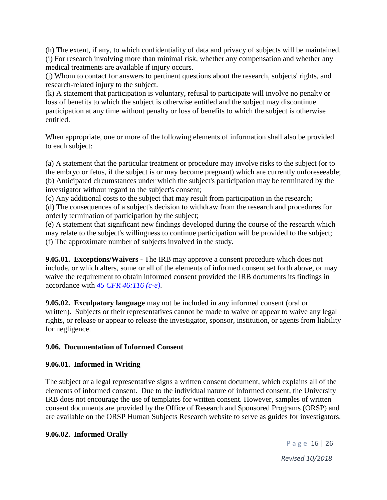(h) The extent, if any, to which confidentiality of data and privacy of subjects will be maintained. (i) For research involving more than minimal risk, whether any compensation and whether any medical treatments are available if injury occurs.

(j) Whom to contact for answers to pertinent questions about the research, subjects' rights, and research-related injury to the subject.

(k) A statement that participation is voluntary, refusal to participate will involve no penalty or loss of benefits to which the subject is otherwise entitled and the subject may discontinue participation at any time without penalty or loss of benefits to which the subject is otherwise entitled.

When appropriate, one or more of the following elements of information shall also be provided to each subject:

(a) A statement that the particular treatment or procedure may involve risks to the subject (or to the embryo or fetus, if the subject is or may become pregnant) which are currently unforeseeable; (b) Anticipated circumstances under which the subject's participation may be terminated by the investigator without regard to the subject's consent;

(c) Any additional costs to the subject that may result from participation in the research; (d) The consequences of a subject's decision to withdraw from the research and procedures for orderly termination of participation by the subject;

(e) A statement that significant new findings developed during the course of the research which may relate to the subject's willingness to continue participation will be provided to the subject; (f) The approximate number of subjects involved in the study.

**9.05.01. Exceptions/Waivers -** The IRB may approve a consent procedure which does not include, or which alters, some or all of the elements of informed consent set forth above, or may waive the requirement to obtain informed consent provided the IRB documents its findings in accordance with *[45 CFR 46:116 \(c-e\)](http://www.hhs.gov/ohrp/policy/45cfr46.html#46.116)*.

**9.05.02. Exculpatory language** may not be included in any informed consent (oral or written). Subjects or their representatives cannot be made to waive or appear to waive any legal rights, or release or appear to release the investigator, sponsor, institution, or agents from liability for negligence.

### **9.06. Documentation of Informed Consent**

# **9.06.01. Informed in Writing**

The subject or a legal representative signs a written consent document, which explains all of the elements of informed consent. Due to the individual nature of informed consent, the University IRB does not encourage the use of templates for written consent. However, samples of written consent documents are provided by the Office of Research and Sponsored Programs (ORSP) and are available on the ORSP Human Subjects Research website to serve as guides for investigators.

### **9.06.02. Informed Orally**

P a g e 16 | 26 *Revised 10/2018*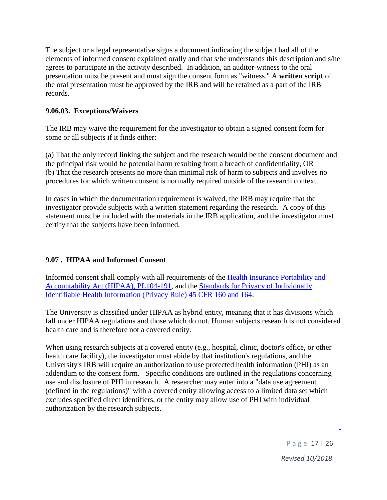The subject or a legal representative signs a document indicating the subject had all of the elements of informed consent explained orally and that s/he understands this description and s/he agrees to participate in the activity described. In addition, an auditor-witness to the oral presentation must be present and must sign the consent form as "witness." A **written script** of the oral presentation must be approved by the IRB and will be retained as a part of the IRB records.

### **9.06.03. Exceptions/Waivers**

The IRB may waive the requirement for the investigator to obtain a signed consent form for some or all subjects if it finds either:

(a) That the only record linking the subject and the research would be the consent document and the principal risk would be potential harm resulting from a breach of confidentiality, OR (b) That the research presents no more than minimal risk of harm to subjects and involves no procedures for which written consent is normally required outside of the research context.

In cases in which the documentation requirement is waived, the IRB may require that the investigator provide subjects with a written statement regarding the research. A copy of this statement must be included with the materials in the IRB application, and the investigator must certify that the subjects have been informed.

### **9.07 . HIPAA and Informed Consent**

Informed consent shall comply with all requirements of the [Health Insurance Portability and](http://aspe.hhs.gov/admnsimp/pl104191.htm)  [Accountability Act \(HIPAA\), PL104-191,](http://aspe.hhs.gov/admnsimp/pl104191.htm) and the [Standards for Privacy of Individually](http://www.hhs.gov/ocr/privacy/hipaa/understanding/summary/introduction.pdf)  [Identifiable Health Information \(Privacy Rule\) 45 CFR 160 and 164.](http://www.hhs.gov/ocr/privacy/hipaa/understanding/summary/introduction.pdf)

The University is classified under HIPAA as hybrid entity, meaning that it has divisions which fall under HIPAA regulations and those which do not. Human subjects research is not considered health care and is therefore not a covered entity.

When using research subjects at a covered entity (e.g., hospital, clinic, doctor's office, or other health care facility), the investigator must abide by that institution's regulations, and the University's IRB will require an authorization to use protected health information (PHI) as an addendum to the consent form. Specific conditions are outlined in the regulations concerning use and disclosure of PHI in research. A researcher may enter into a "data use agreement (defined in the regulations)" with a covered entity allowing access to a limited data set which excludes specified direct identifiers, or the entity may allow use of PHI with individual authorization by the research subjects.

> P a g e 17 | 26 *Revised 10/2018*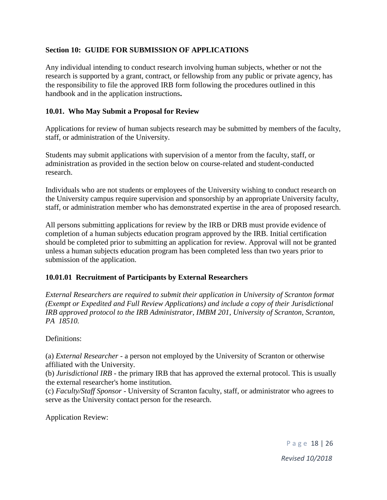## **Section 10: GUIDE FOR SUBMISSION OF APPLICATIONS**

Any individual intending to conduct research involving human subjects, whether or not the research is supported by a grant, contract, or fellowship from any public or private agency, has the responsibility to file the approved IRB form following the procedures outlined in this handbook and in the application instructions**.**

### **10.01. Who May Submit a Proposal for Review**

Applications for review of human subjects research may be submitted by members of the faculty, staff, or administration of the University.

Students may submit applications with supervision of a mentor from the faculty, staff, or administration as provided in the section below on course-related and student-conducted research.

Individuals who are not students or employees of the University wishing to conduct research on the University campus require supervision and sponsorship by an appropriate University faculty, staff, or administration member who has demonstrated expertise in the area of proposed research.

All persons submitting applications for review by the IRB or DRB must provide evidence of completion of a human subjects education program approved by the IRB. Initial certification should be completed prior to submitting an application for review. Approval will not be granted unless a human subjects education program has been completed less than two years prior to submission of the application.

### **10.01.01 Recruitment of Participants by External Researchers**

*External Researchers are required to submit their application in University of Scranton format (Exempt or Expedited and Full Review Applications) and include a copy of their Jurisdictional IRB approved protocol to the IRB Administrator, IMBM 201, University of Scranton, Scranton, PA 18510.*

### Definitions:

(a) *External Researcher* - a person not employed by the University of Scranton or otherwise affiliated with the University.

(b) *Jurisdictional IRB* - the primary IRB that has approved the external protocol. This is usually the external researcher's home institution.

(c) *Faculty/Staff Sponsor* - University of Scranton faculty, staff, or administrator who agrees to serve as the University contact person for the research.

Application Review: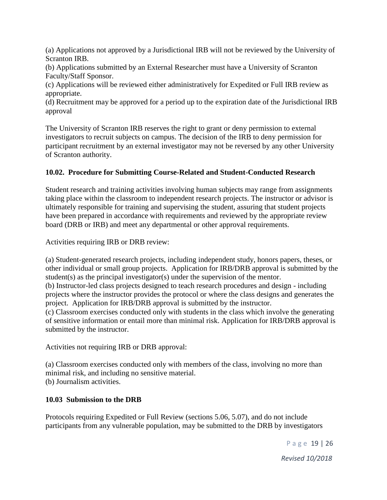(a) Applications not approved by a Jurisdictional IRB will not be reviewed by the University of Scranton IRB.

(b) Applications submitted by an External Researcher must have a University of Scranton Faculty/Staff Sponsor.

(c) Applications will be reviewed either administratively for Expedited or Full IRB review as appropriate.

(d) Recruitment may be approved for a period up to the expiration date of the Jurisdictional IRB approval

The University of Scranton IRB reserves the right to grant or deny permission to external investigators to recruit subjects on campus. The decision of the IRB to deny permission for participant recruitment by an external investigator may not be reversed by any other University of Scranton authority.

## **10.02. Procedure for Submitting Course-Related and Student-Conducted Research**

Student research and training activities involving human subjects may range from assignments taking place within the classroom to independent research projects. The instructor or advisor is ultimately responsible for training and supervising the student, assuring that student projects have been prepared in accordance with requirements and reviewed by the appropriate review board (DRB or IRB) and meet any departmental or other approval requirements.

Activities requiring IRB or DRB review:

(a) Student-generated research projects, including independent study, honors papers, theses, or other individual or small group projects. Application for IRB/DRB approval is submitted by the student(s) as the principal investigator(s) under the supervision of the mentor.

(b) Instructor-led class projects designed to teach research procedures and design - including projects where the instructor provides the protocol or where the class designs and generates the project. Application for IRB/DRB approval is submitted by the instructor.

(c) Classroom exercises conducted only with students in the class which involve the generating of sensitive information or entail more than minimal risk. Application for IRB/DRB approval is submitted by the instructor.

Activities not requiring IRB or DRB approval:

(a) Classroom exercises conducted only with members of the class, involving no more than minimal risk, and including no sensitive material. (b) Journalism activities.

### **10.03 Submission to the DRB**

Protocols requiring Expedited or Full Review (sections 5.06, 5.07), and do not include participants from any vulnerable population, may be submitted to the DRB by investigators

> P a g e 19 | 26 *Revised 10/2018*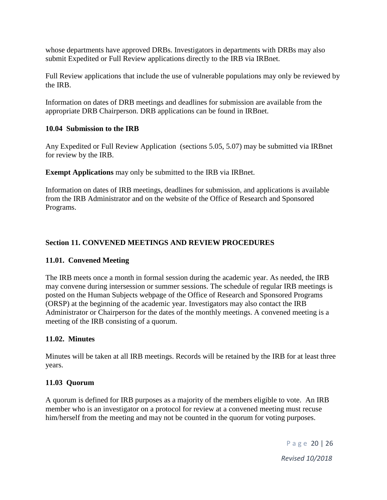whose departments have approved DRBs. Investigators in departments with DRBs may also submit Expedited or Full Review applications directly to the IRB via IRBnet.

Full Review applications that include the use of vulnerable populations may only be reviewed by the IRB.

Information on dates of DRB meetings and deadlines for submission are available from the appropriate DRB Chairperson. DRB applications can be found in IRBnet.

### **10.04 Submission to the IRB**

Any Expedited or Full Review Application (sections 5.05, 5.07) may be submitted via IRBnet for review by the IRB.

**Exempt Applications** may only be submitted to the IRB via IRBnet.

Information on dates of IRB meetings, deadlines for submission, and applications is available from the IRB Administrator and on the website of the Office of Research and Sponsored Programs.

## **Section 11. CONVENED MEETINGS AND REVIEW PROCEDURES**

### **11.01. Convened Meeting**

The IRB meets once a month in formal session during the academic year. As needed, the IRB may convene during intersession or summer sessions. The schedule of regular IRB meetings is posted on the Human Subjects webpage of the Office of Research and Sponsored Programs (ORSP) at the beginning of the academic year. Investigators may also contact the IRB Administrator or Chairperson for the dates of the monthly meetings. A convened meeting is a meeting of the IRB consisting of a quorum.

### **11.02. Minutes**

Minutes will be taken at all IRB meetings. Records will be retained by the IRB for at least three years.

#### **11.03 Quorum**

A quorum is defined for IRB purposes as a majority of the members eligible to vote. An IRB member who is an investigator on a protocol for review at a convened meeting must recuse him/herself from the meeting and may not be counted in the quorum for voting purposes.

> P a g e 20 | 26 *Revised 10/2018*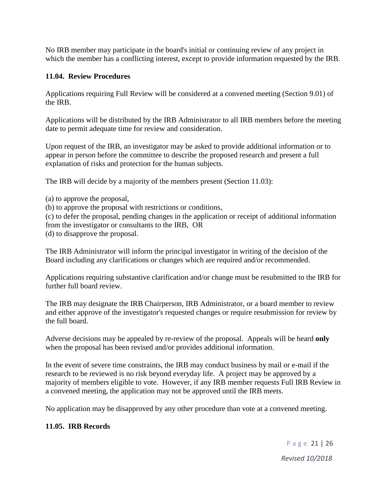No IRB member may participate in the board's initial or continuing review of any project in which the member has a conflicting interest, except to provide information requested by the IRB.

## **11.04. Review Procedures**

Applications requiring Full Review will be considered at a convened meeting (Section 9.01) of the IRB.

Applications will be distributed by the IRB Administrator to all IRB members before the meeting date to permit adequate time for review and consideration.

Upon request of the IRB, an investigator may be asked to provide additional information or to appear in person before the committee to describe the proposed research and present a full explanation of risks and protection for the human subjects.

The IRB will decide by a majority of the members present (Section 11.03):

- (a) to approve the proposal,
- (b) to approve the proposal with restrictions or conditions,
- (c) to defer the proposal, pending changes in the application or receipt of additional information from the investigator or consultants to the IRB, OR
- (d) to disapprove the proposal.

The IRB Administrator will inform the principal investigator in writing of the decision of the Board including any clarifications or changes which are required and/or recommended.

Applications requiring substantive clarification and/or change must be resubmitted to the IRB for further full board review.

The IRB may designate the IRB Chairperson, IRB Administrator, or a board member to review and either approve of the investigator's requested changes or require resubmission for review by the full board.

Adverse decisions may be appealed by re-review of the proposal. Appeals will be heard **only** when the proposal has been revised and/or provides additional information.

In the event of severe time constraints, the IRB may conduct business by mail or e-mail if the research to be reviewed is no risk beyond everyday life. A project may be approved by a majority of members eligible to vote. However, if any IRB member requests Full IRB Review in a convened meeting, the application may not be approved until the IRB meets.

No application may be disapproved by any other procedure than vote at a convened meeting.

# **11.05. IRB Records**

P a g e 21 | 26 *Revised 10/2018*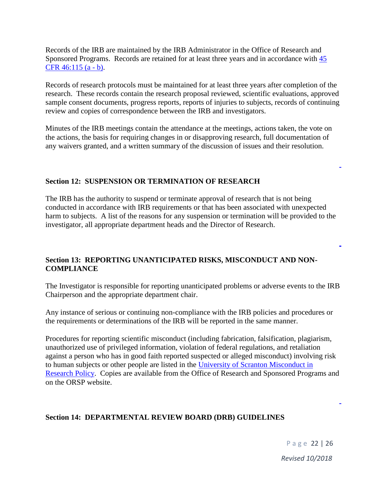Records of the IRB are maintained by the IRB Administrator in the Office of Research and Sponsored Programs. Records are retained for at least three years and in accordance with  $\frac{45}{5}$ [CFR 46:115 \(a -](http://www.hhs.gov/ohrp/policy/45cfr46.html#46.115) b).

Records of research protocols must be maintained for at least three years after completion of the research. These records contain the research proposal reviewed, scientific evaluations, approved sample consent documents, progress reports, reports of injuries to subjects, records of continuing review and copies of correspondence between the IRB and investigators.

Minutes of the IRB meetings contain the attendance at the meetings, actions taken, the vote on the actions, the basis for requiring changes in or disapproving research, full documentation of any waivers granted, and a written summary of the discussion of issues and their resolution.

### **Section 12: SUSPENSION OR TERMINATION OF RESEARCH**

The IRB has the authority to suspend or terminate approval of research that is not being conducted in accordance with IRB requirements or that has been associated with unexpected harm to subjects. A list of the reasons for any suspension or termination will be provided to the investigator, all appropriate department heads and the Director of Research.

# **Section 13: REPORTING UNANTICIPATED RISKS, MISCONDUCT AND NON-COMPLIANCE**

The Investigator is responsible for reporting unanticipated problems or adverse events to the IRB Chairperson and the appropriate department chair.

Any instance of serious or continuing non-compliance with the IRB policies and procedures or the requirements or determinations of the IRB will be reported in the same manner.

Procedures for reporting scientific misconduct (including fabrication, falsification, plagiarism, unauthorized use of privileged information, violation of federal regulations, and retaliation against a person who has in good faith reported suspected or alleged misconduct) involving risk to human subjects or other people are listed in the [University of Scranton Misconduct in](http://www.scranton.edu/academics/provost/research/pdf/Research_Misconduct_policy.pdf)  [Research Policy.](http://www.scranton.edu/academics/provost/research/pdf/Research_Misconduct_policy.pdf) Copies are available from the Office of Research and Sponsored Programs and on the ORSP website.

# **Section 14: DEPARTMENTAL REVIEW BOARD (DRB) GUIDELINES**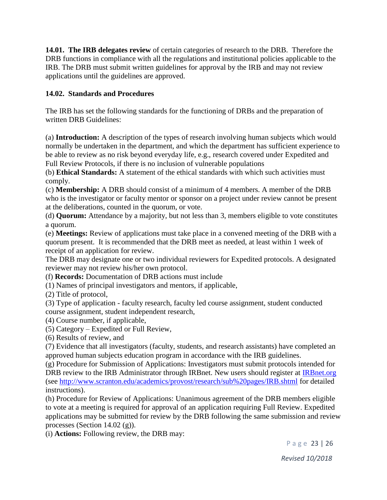**14.01. The IRB delegates review** of certain categories of research to the DRB. Therefore the DRB functions in compliance with all the regulations and institutional policies applicable to the IRB. The DRB must submit written guidelines for approval by the IRB and may not review applications until the guidelines are approved.

## **14.02. Standards and Procedures**

The IRB has set the following standards for the functioning of DRBs and the preparation of written DRB Guidelines:

(a) **Introduction:** A description of the types of research involving human subjects which would normally be undertaken in the department, and which the department has sufficient experience to be able to review as no risk beyond everyday life, e.g., research covered under Expedited and Full Review Protocols, if there is no inclusion of vulnerable populations

(b) **Ethical Standards:** A statement of the ethical standards with which such activities must comply.

(c) **Membership:** A DRB should consist of a minimum of 4 members. A member of the DRB who is the investigator or faculty mentor or sponsor on a project under review cannot be present at the deliberations, counted in the quorum, or vote.

(d) **Quorum:** Attendance by a majority, but not less than 3, members eligible to vote constitutes a quorum.

(e) **Meetings:** Review of applications must take place in a convened meeting of the DRB with a quorum present. It is recommended that the DRB meet as needed, at least within 1 week of receipt of an application for review.

The DRB may designate one or two individual reviewers for Expedited protocols. A designated reviewer may not review his/her own protocol.

(f) **Records:** Documentation of DRB actions must include

(1) Names of principal investigators and mentors, if applicable,

(2) Title of protocol,

(3) Type of application - faculty research, faculty led course assignment, student conducted course assignment, student independent research,

(4) Course number, if applicable,

(5) Category – Expedited or Full Review,

(6) Results of review, and

(7) Evidence that all investigators (faculty, students, and research assistants) have completed an approved human subjects education program in accordance with the IRB guidelines.

(g) Procedure for Submission of Applications: Investigators must submit protocols intended for DRB review to the IRB Administrator through IRBnet. New users should register at [IRBnet.org](file:///C:/Users/R99971086/Desktop/IRB%20Policy%20Changes/Revised%20Policy%20for%20Provost) (see<http://www.scranton.edu/academics/provost/research/sub%20pages/IRB.shtml> for detailed instructions).

(h) Procedure for Review of Applications: Unanimous agreement of the DRB members eligible to vote at a meeting is required for approval of an application requiring Full Review. Expedited applications may be submitted for review by the DRB following the same submission and review processes (Section 14.02 (g)).

(i) **Actions:** Following review, the DRB may:

P a g e 23 | 26 *Revised 10/2018*